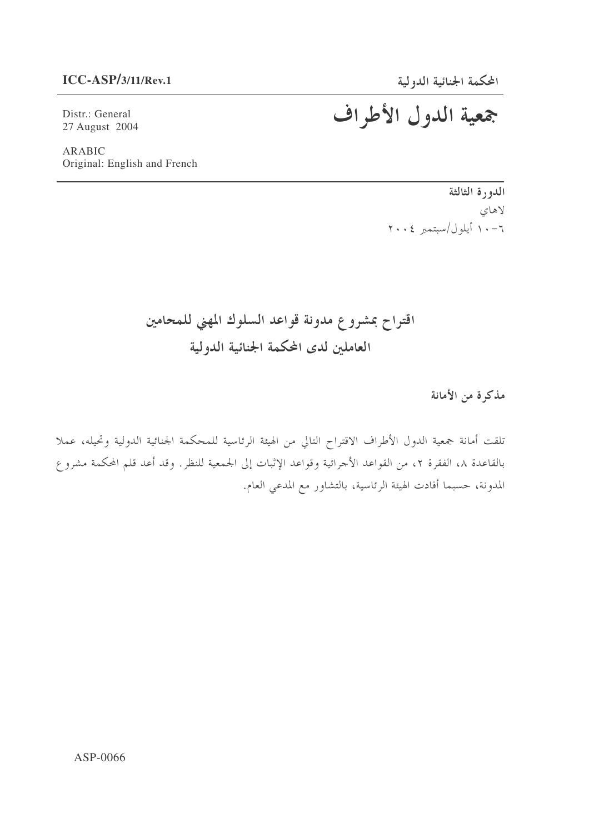#### $ICC-ASP/3/11/Rev.1$

Distr.: General 27 August 2004

**ARABIC** Original: English and French

> الدورة الثالثة لاهای  $Y \cdot \cdot \xi$  أيلول/سبتمبر ٢٠٠٤

## اقتراح بمشروع مدونة قواعد السلوك المهنى للمحامين العاملين لدى المحكمة الجنائية الدولية

مذكرة من الأمانة

تلقت أمانة جمعية الدول الأطراف الاقتراح التالي من الهيئة الرئاسية للمحكمة الجنائية الدولية وتحيله، عملا بالقاعدة ٨، الفقرة ٢، من القواعد الأجرائية وقواعد الإثبات إلى الجمعية للنظر. وقد أعد قلم المحكمة مشروع المدونة، حسبما أفادت الهيئة الرئاسية، بالتشاور مع المدعى العام.

## جمعية الدول الأطراف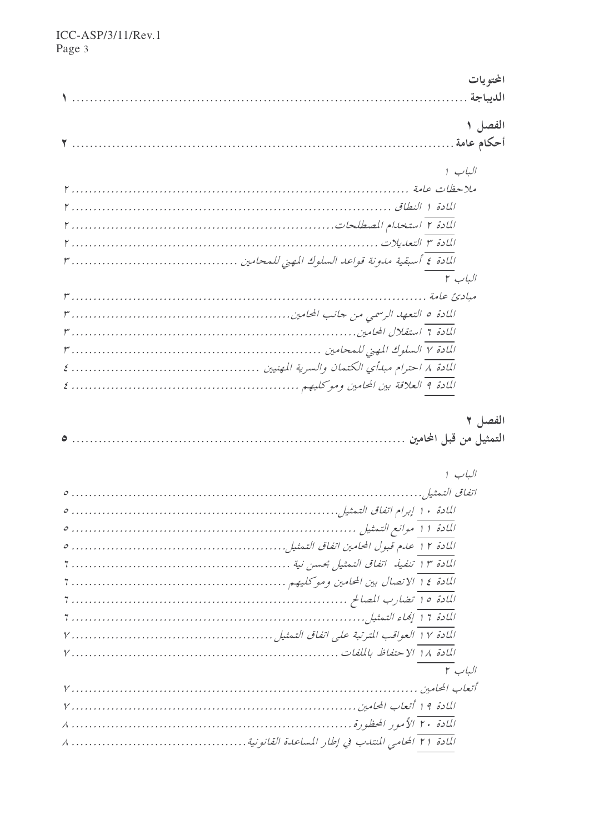|         | المحتويات |
|---------|-----------|
|         |           |
|         | الفصل ١   |
|         |           |
|         |           |
| الباب ١ |           |
|         |           |
|         |           |
|         |           |
|         |           |
|         |           |
| الباب ٢ |           |
|         |           |
|         |           |
|         |           |
|         |           |
|         |           |
|         |           |
|         |           |
|         | الفصل ٢   |
|         |           |
|         |           |
| الباب ١ |           |
|         |           |
|         |           |
|         |           |

| الباب ١ |
|---------|
|         |
|         |
|         |
|         |
|         |
|         |
|         |
|         |
|         |
|         |
| الباب ۲ |
|         |
|         |
|         |
|         |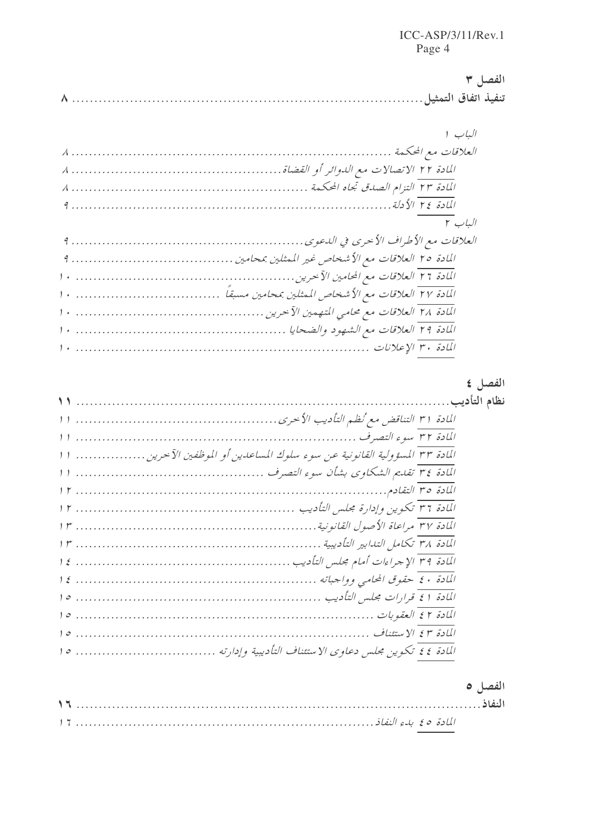| الفصاح ٣ |  |
|----------|--|
|          |  |

| الباب ٢ |
|---------|
|         |
|         |
|         |
|         |
|         |
|         |
|         |

### الفصل ٤

| المادة ٣٣ المسؤولية القانونية عن سوء سلوك المساعدين أو الموظفين الآخرين ا |  |
|---------------------------------------------------------------------------|--|
|                                                                           |  |
|                                                                           |  |
|                                                                           |  |
|                                                                           |  |
|                                                                           |  |
|                                                                           |  |
|                                                                           |  |
|                                                                           |  |
|                                                                           |  |
|                                                                           |  |
|                                                                           |  |

### الفصل ٥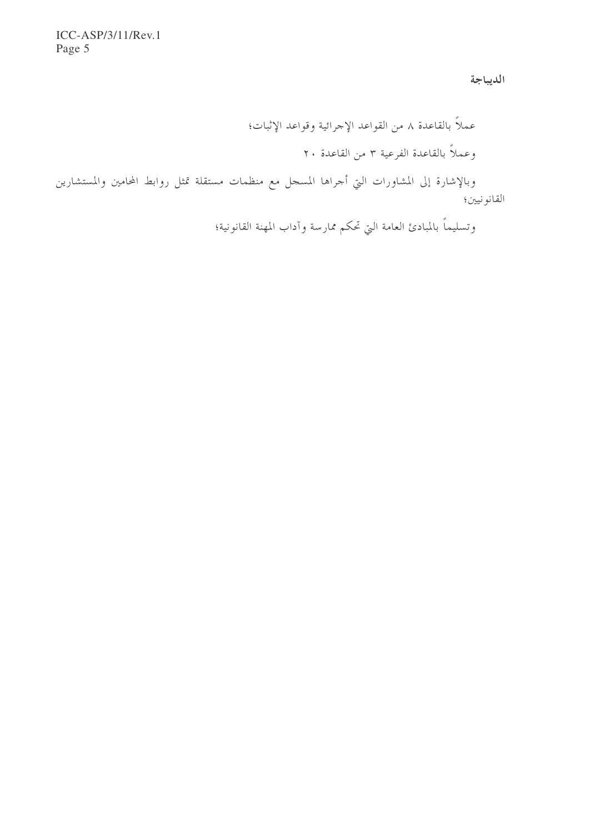الديباجة

عملاً بالقاعدة ٨ من القواعد الإجرائية وقواعد الإثبات؛ وعملاً بالقاعدة الفرعية ٣ من القاعدة ٢٠

وبالإشارة إلى المشاورات التي أحراها المسحل مع منظمات مستقلة تمثل روابط المحامين والمستشارين القانو نيين؛

وتسليماً بالمبادئ العامة التي تحكم ممارسة وآداب المهنة القانونية؛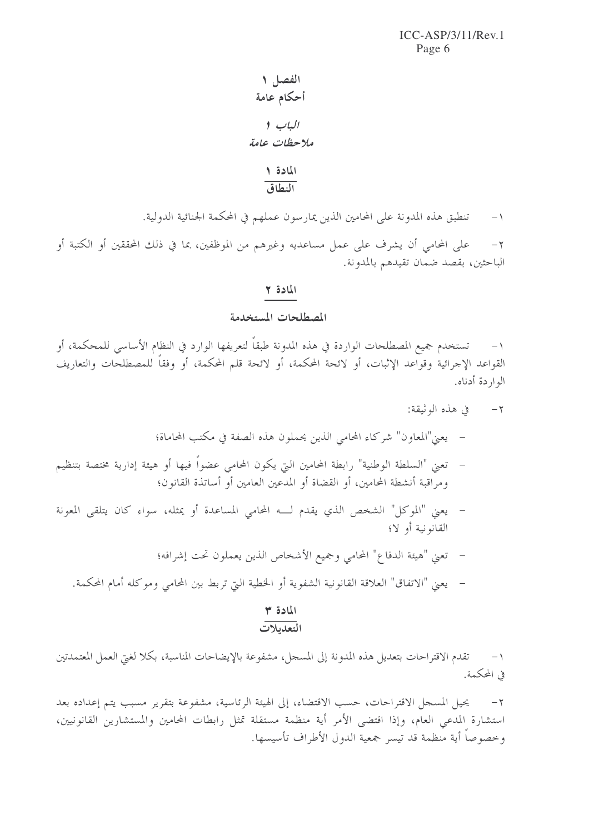- الفصل ١ أحكام عامة الياب ا ملاحظات عامة المادة ١
	- النطاق
- تنطبق هذه المدونة على المحامين الذين يمارسون عملهم في المحكمة الجنائية الدولية.  $-1$

على المحامي أن يشرف على عمل مساعديه وغيرهم من الموظفين، بما في ذلك المحققين أو الكتبة أو  $-\gamma$ الباحثين، بقصد ضمان تقيدهم بالمدونة.

#### المادة ٢

#### المصطلحات المستخدمة

تستخدم جميع المصطلحات الواردة في هذه المدونة طبقاً لتعريفها الوارد في النظام الأساسي للمحكمة، أو  $\setminus$ القواعد الإجرائية وقواعد الإثبات، أو لائحة المحكمة، أو لائحة قلم المحكمة، أو وفقاً للمصطلحات والتعاريف الواردة أدناه.

- ٢- في هذه الوثيقة:
- يعني"المعاون" شركاء المحامي الذين يحملون هذه الصفة في مكتب المحاماة؛
- تعني "السلطة الوطنية" رابطة المحامين التي يكون المحامي عضواً فيها أو هيئة إدارية مختصة بتنظيم ومراقبة أنشطة المحامين، أو القضاة أو المدعين العامين أو أساتذة القانون؛
- يعني "الموكل" الشخص الذي يقدم لـــه المحامي المساعدة أو يمثله، سواء كان يتلقى المعونة القانونية أو لا؛
	- تعني "هيئة الدفاع" المحامي وجميع الأشخاص الذين يعملون تحت إشرافه؛
	- يعني "الاتفاق" العلاقة القانونية الشفوية أو الخطية التي تربط بين المحامي وموكله أمام المحكمة.

### المادة ٣

### التعديلات

١– تقدم الاقتراحات بتعديل هذه المدونة إلى المسجل، مشفوعة بالإيضاحات المناسبة، بكلا لغيّ العمل المعتمدتين في المحكمة.

٢– يحيل المسجل الاقتراحات، حسب الاقتضاء، إلى الهيئة الرئاسية، مشفوعة بتقرير مسبب يتم إعداده بعد استشارة المدعى العام، وإذا اقتضى الأمر أية منظمة مستقلة تمثل رابطات المحامين والمستشارين القانونيين، وخصوصاً أية منظمة قد تيسر جمعية الدول الأطراف تأسيسها.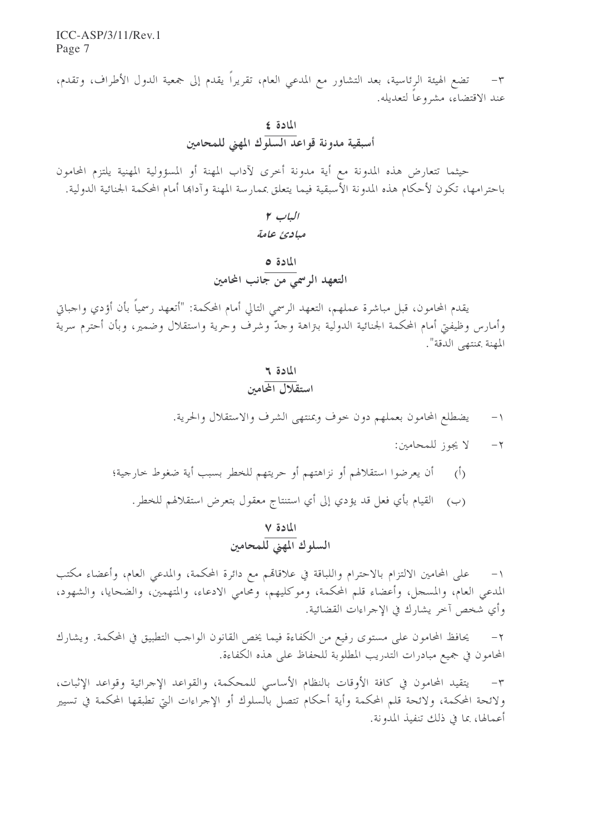تضع الهيئة الرئاسية، بعد التشاور مع المدعى العام، تقريراً يقدم إلى جمعية الدول الأطراف، وتقدم،  $-1$ عند الاقتضاء، مشروعا لتعديله.

حيثما تتعارض هذه المدونة مع أية مدونة أخرى لآداب المهنة أو المسؤولية المهنية يلتزم المحامون باحترامها، تكون لأحكام هذه المدونة الأسبقية فيما يتعلق بممارسة المهنة وآداها أمام المحكمة الجنائية الدولية.

### $r \cup L$ مبادئ عامة

### المادة ٥ التعهد الرسمي من جانب المحامين

يقدم المحامون، قبل مباشرة عملهم، التعهد الرسمي التالي أمام المحكمة: "أتعهد رسمياً بأن أؤدي واجباتي وأمارس وظيفتى أمام المحكمة الجنائية الدولية بنزاهة وحدّ وشرف وحرية واستقلال وضمير، وبأن أحترم سرية المهنة بمنتهى الدقة".

#### المادة ٢

- يضطلع المحامون بعملهم دون حوف وبمنتهى الشرف والاستقلال والحرية.  $-1$ 
	- لا يجوز للمحامين:  $-\tau$
- أن يعرضوا استقلالهم أو نزاهتهم أو حريتهم للخطر بسبب أية ضغوط حارجية؛  $\langle$ <sup>i</sup>)
	- (ب) القيام بأي فعل قد يؤدي إلى أي استنتاج معقول بتعرض استقلالهم للخطر.

# المادة ٧<br>السلوك المهني للمحامين

على المحامين الالتزام بالاحترام واللباقة في علاقاقم مع دائرة المحكمة، والمدعي العام، وأعضاء مكتب  $-1$ المدعى العام، والمسجل، وأعضاء قلم المحكمة، وموكليهم، ومحامى الادعاء، والمتهمين، والضحايا، والشهود، وأي شخص آخر يشارك في الإجراءات القضائية.

يحافظ المحامون على مستوى رفيع من الكفاءة فيما يخص القانون الواحب التطبيق في المحكمة. ويشارك  $-\tau$ المحامون في جميع مبادرات التدريب المطلوبة للحفاظ على هذه الكفاءة.

يتقيد المحامون في كافة الأوقات بالنظام الأساسي للمحكمة، والقواعد الإجرائية وقواعد الإثبات،  $-\tau$ ولائحة المحكمة، ولائحة قلم المحكمة وأية أحكام تتصل بالسلوك أو الإجراءات التي تطبقها المحكمة في تسيير أعمالها، بما في ذلك تنفيذ المدونة.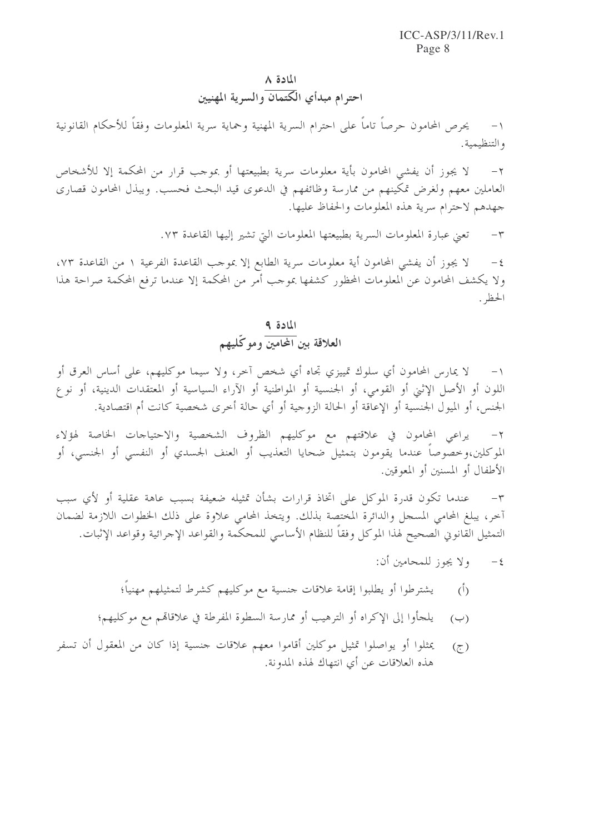#### المادة ٨

احترام مبدأي الكتمان والسرية المهنيين

١– يحرص المحامون حرصاً تاماً على احترام السرية المهنية وحماية سرية المعلومات وفقاً للأحكام القانونية والتنظيمية.

لا يجوز أن يفشى المحامون بأية معلومات سرية بطبيعتها أو بموجب قرار من المحكمة إلا للأشخاص  $-\tau$ العاملين معهم ولغرض تمكينهم من ممارسة وظائفهم في الدعوى قيد البحث فحسب. ويبذل المحامون قصارى جهدهم لاحترام سرية هذه المعلومات والحفاظ عليها.

> تعني عبارة المعلومات السرية بطبيعتها المعلومات التي تشير إليها القاعدة ٧٣.  $-\tau$

لا يجوز أن يفشي المحامون أية معلومات سرية الطابع إلا بموحب القاعدة الفرعية ١ من القاعدة ٧٣،  $-\xi$ ولا يكشف المحامون عن المعلومات المحظور كشفها بموحب أمر من المحكمة إلا عندما ترفع المحكمة صراحة هذا الحظه .

# المادة ۹<br>العلاقة بين المحامين وموكّليهم

لا يمارس المحامون أي سلوك تمييزي تجاه أي شخص آخر، ولا سيما موكليهم، على أساس العرق أو  $-1$ اللون أو الأصل الإثني أو القومي، أو الجنسية أو المواطنية أو الآراء السياسية أو المعتقدات الدينية، أو نوع الجنس، أو الميول الجنسية أو الإعاقة أو الحالة الزوجية أو أي حالة أخرى شخصية كانت أم اقتصادية.

يراعي المحامون في علاقتهم مع موكليهم الظروف الشخصية والاحتياحات الخاصة لهؤلاء  $-7$ الموكلين،وخصوصا عندما يقومون بتمثيل ضحايا التعذيب أو العنف الجسدي أو النفسي أو الجنسي، أو الأطفال أو المسنين أو المعوقين.

عندما تكون قدرة الموكل على اتخاذ قرارات بشأن تمثيله ضعيفة بسبب عاهة عقلية أو لأي سبب  $-\tau$ أخر، يبلغ المحامي المسحل والدائرة المختصة بذلك. ويتخذ المحامي علاوة على ذلك الخطوات اللازمة لضمان التمثيل القانوني الصحيح لهذا الموكل وفقاً للنظام الأساسي للمحكمة والقواعد الإجرائية وقواعد الإثبات.

- ولا يجوز للمحامين أن:  $-\xi$
- يشترطوا أو يطلبوا إقامة علاقات جنسية مع موكليهم كشرط لتمثيلهم مهنيا؛  $\tilde{(\cdot)}$
- يلجأوا إلى الإكراه أو الترهيب أو ممارسة السطوة المفرطة في علاقاقم مع موكليهم؛  $(\hookrightarrow)$
- يمثلوا أو يواصلوا تمثيل موكلين أقاموا معهم علاقات جنسية إذا كان من المعقول أن تسفر  $(\tau)$ هذه العلاقات عن أي انتهاك لهذه المدونة.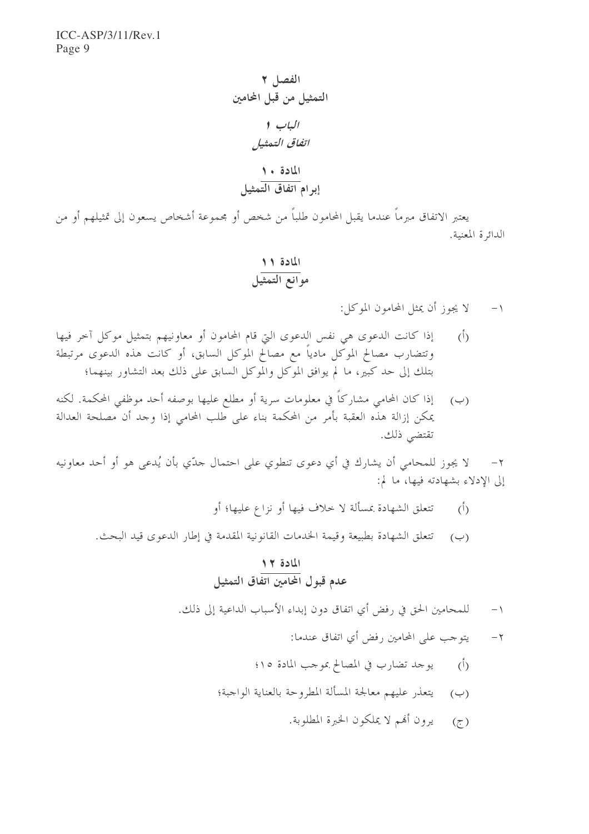يعتبر الاتفاق مبرماً عندما يقبل المحامون طلباً من شخص أو مجموعة أشخاص يسعون إلى تمثيلهم أو من الدائرة المعنية.

لا يجوز أن يمثل المحامون الموكل:  $-1$ 

- إذا كانت الدعوى هي نفس الدعوى التي قام المحامون أو معاونيهم بتمثيل موكل آخر فيها  $\langle \dot{0} \rangle$ وتتضارب مصالح الموكل مادياً مع مصالح الموكل السابق، أو كانت هذه الدعوى مرتبطة بتلك إلى حد كبير، ما لم يوافق الموكل والموكل السابق على ذلك بعد التشاور بينهما؛
- (ب) ﴿ إِذَا كَانَ الْحَامِي مِشَارِكاً فِي معلومات سرية أَو مطلع عليها بوصفه أحد موظفي المحكمة. لكنه يمكن إزالة هذه العقبة بأمر من المحكمة بناء على طلب المحامي إذا وحد أن مصلحة العدالة تقتضي ذلك.

لا يجوز للمحامي أن يشارك في أي دعوى تنطوي على احتمال حدّي بأن يُدعى هو أو أحد معاونيه  $-\gamma$ إلى الإدلاء بشهادته فيها، ما لم:

- تتعلق الشهادة بمسألة لا خلاف فيها أو نزاع عليها؛ أو  $\langle \hat{L} \rangle$
- تتعلق الشهادة بطبيعة وقيمة الخدمات القانونية المقدمة في إطار الدعوى قيد البحث.  $(\rightarrow)$

# المادة <mark>١٢</mark><br>عدم قبول المحامين اتفاق التمثيل

- للمحامين الحق في رفض أي اتفاق دون إبداء الأسباب الداعية إلى ذلك.  $-1$ 
	- يتوجب على المحامين رفض أي اتفاق عندما:  $-\tau$
	- يوحد تضارب في المصالح بموحب المادة ١٥؛  $\overline{(\mathfrak{h})}$
	- يتعذر عليهم معالجة المسألة المطروحة بالعناية الواجبة؛  $(\hookrightarrow)$ 
		- (ج) يرون ألهم لا يملكون الخبرة المطلوبة.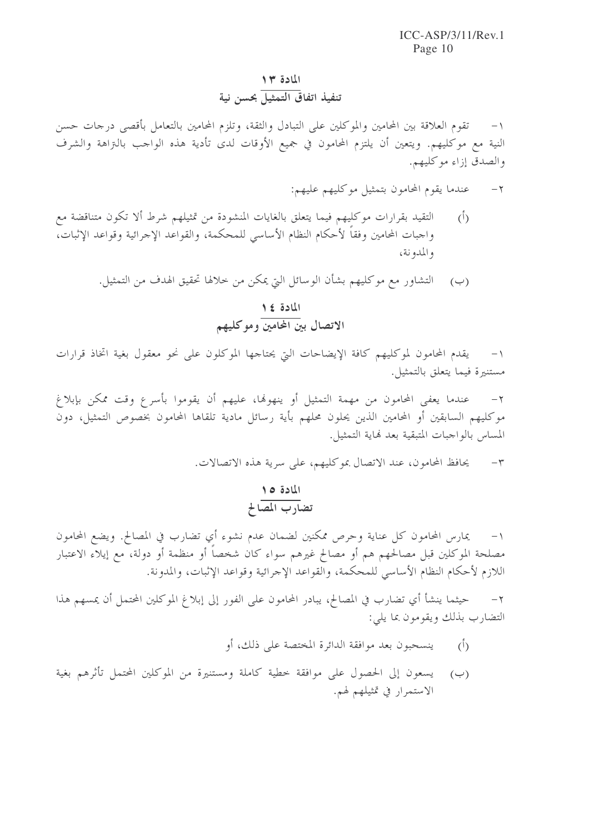### المادة ١٣ .<br>تنفيذ اتفاق التمثيل بحسن نية

تقوم العلاقة بين المحامين والموكلين على التبادل والثقة، وتلزم المحامين بالتعامل بأقصى درجات حسن  $-1$ النية مع موكليهم. ويتعين أن يلتزم المحامون في جميع الأوقات لدى تأدية هذه الواحب بالتزاهة والشرف والصدق إزاء موكليهم.

- عندما يقوم المحامون بتمثيل موكليهم عليهم:  $-7$
- التقيد بقرارات موكليهم فيما يتعلق بالغايات المنشودة من تمثيلهم شرط ألا تكون متناقضة مع  $\overline{(\cdot)}$ واجبات المحامين وفقاً لأحكام النظام الأساسي للمحكمة، والقواعد الإجرائية وقواعد الإثبات، والمدونة،
	- (ب) التشاور مع موكليهم بشأن الوسائل التي يمكن من خلالها تحقيق الهدف من التمثيل.

# المادة ١٤<br>الاتصال بين المحامين وموكليهم

يقدم المحامون لموكليهم كافة الإيضاحات التي يحتاجها الموكلون على نحو معقول بغية اتخاذ قرارات  $-1$ مستنيرة فيما يتعلق بالتمثيل.

عندما يعفي المحامون من مهمة التمثيل أو ينهوها، عليهم أن يقوموا بأسرع وقت ممكن بإبلاغ  $-\tau$ موكليهم السابقين أو المحامين الذين يحلون محلهم بأية رسائل مادية تلقاها المحامون بخصوص التمثيل، دون المساس بالواجبات المتبقية بعد نهاية التمثيل.

> يحافظ المحامون، عند الاتصال بموكليهم، على سرية هذه الاتصالات.  $-{\bf r}$

### المادة ٥١ تضارب المصالح

يمارس المحامون كل عناية وحرص ممكنين لضمان عدم نشوء أي تضارب في المصالح. ويضع المحامون  $-1$ مصلحة الموكلين قبل مصالحهم هم أو مصالح غيرهم سواء كان شخصاً أو منظمة أو دولة، مع إيلاء الاعتبار اللازم لأحكام النظام الأساسي للمحكمة، والقواعد الإجرائية وقواعد الإثبات، والمدونة.

حيثما ينشأ أي تضارب في المصالح، يبادر المحامون على الفور إلى إبلاغ الموكلين المحتمل أن يمسهم هذا  $-7$ التضارب بذلك ويقومون بما يلي:

- ينسحبون بعد موافقة الدائرة المختصة على ذلك، أو  $\overline{(\overline{)}$
- يسعون إلى الحصول على موافقة خطية كاملة ومستنيرة من الموكلين المحتمل تأثرهم بغية  $(\cup)$ الاستمرار في تمثيلهم لهم.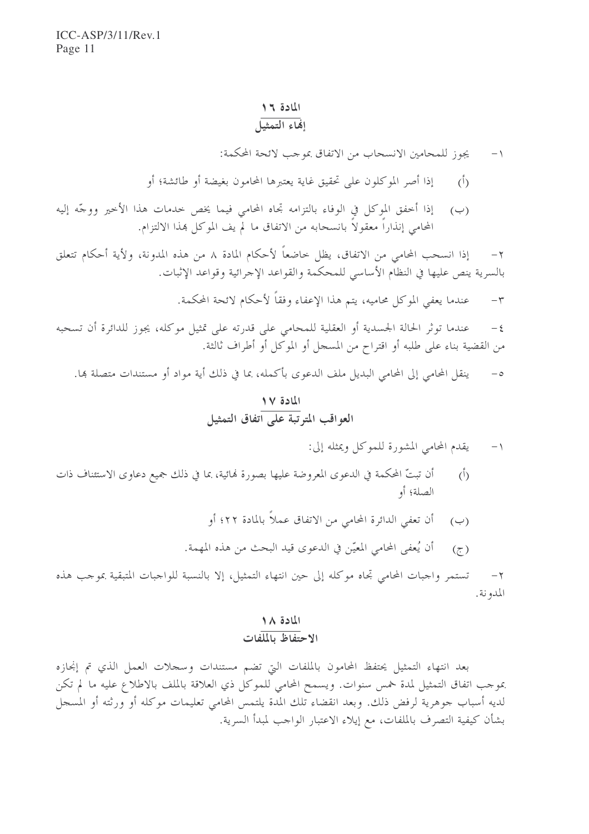## المادة ١٦<br>إفجاء التمثيل

- يجوز للمحامين الانسحاب من الاتفاق بموجب لائحة المحكمة:  $-1$
- إذا أصر الموكلون على تحقيق غاية يعتبرها المحامون بغيضة أو طائشة؛ أو  $\langle \hat{L} \rangle$
- (ب) إذا أخفق الموكل في الوفاء بالتزامه تجاه المحامى فيما يخص خدمات هذا الأخير ووجّه إليه المحامي إنذاراً معقولاً بانسحابه من الاتفاق ما لم يف الموكل هذا الالتزام.

إذا انسحب المحامي من الاتفاق، يظل حاضعاً لأحكام المادة ٨ من هذه المدونة، ولأية أحكام تتعلق  $-\gamma$ بالسرية ينص عليها في النظام الأساسي للمحكمة والقواعد الإجرائية وقواعد الإثبات.

> عندما يعفي الموكل محاميه، يتم هذا الإعفاء وفقاً لأحكام لائحة المحكمة.  $-\tau$

عندما توثَّر الحالة الجسدية أو العقلية للمحامي على قدرته على تمثيل موكله، يجوز للدائرة أن تسحبه  $-\xi$ من القضية بناء على طلبه أو اقتراح من المسجل أو الموكل أو أطراف ثالثة.

ينقل المحامي إلى المحامي البديل ملف الدعوى بأكمله، بما في ذلك أية مواد أو مستندات متصلة ها.  $-\circ$ 

### المادة ١٧ العواقب المتوتية على اتفاق التمثيل

يقدم المحامي المشورة للموكل ويمثله إلى:  $-1$ 

- أن تبتّ المحكمة في الدعوى المعروضة عليها بصورة لهائية، بما في ذلك جميع دعاوى الاستئناف ذات  $\overline{()}$ الصلة؛ أو
	- أن تعفي الدائرة المحامي من الاتفاق عملاً بالمادة ٢٢؛ أو  $(\hookrightarrow)$
	- أن يُعفى المحامى المعيّن في الدعوى قيد البحث من هذه المهمة.  $(\tau)$

تستمر واجبات المحامي تجاه موكله إلى حين انتهاء التمثيل، إلا بالنسبة للواجبات المتبقية بموجب هذه  $-\gamma$ المدونة.

#### المادة ١٨ الاحتفاظ بالملفات

بعد انتهاء التمثيل يحتفظ المحامون بالملفات البتي تضم مستندات وسجلات العمل الذي تم إنجازه بموجب اتفاق التمثيل لمدة خمس سنوات. ويسمح المحامي للموكل ذي العلاقة بالملف بالاطلاع عليه ما لم تكن لديه أسباب جوهرية لرفض ذلك. وبعد انقضاء تلك المدة يلتمس المحامي تعليمات موكله أو ورثته أو المسجل بشأن كيفية التصرف بالملفات، مع إيلاء الاعتبار الواحب لمبدأ السرية.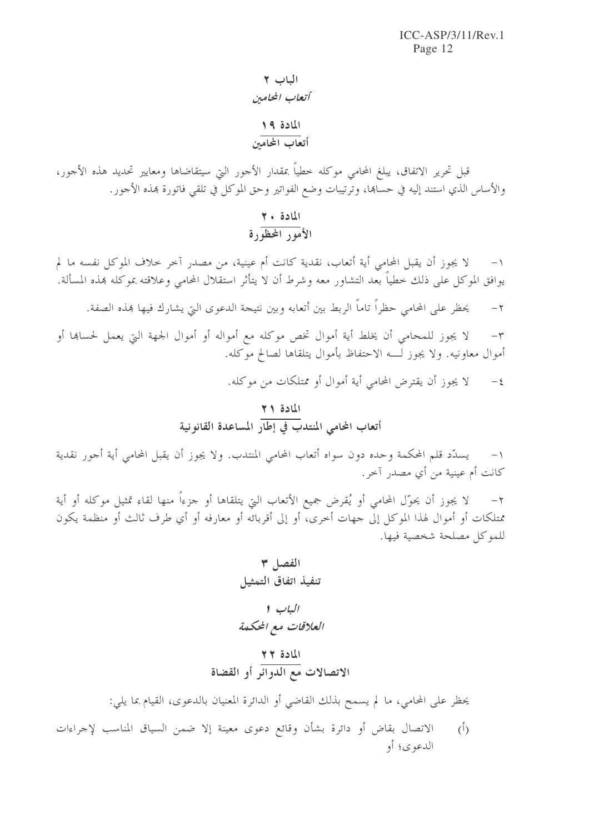### الباب ٢ أتعاب المحامين المادة ١٩

### \_\_\_\_\_\_\_\_<br>أتعاب المحامين

قبل تحرير الاتفاق، يبلغ المحامى موكله خطياً بمقدار الأحور التي سيتقاضاها ومعايير تحديد هذه الأحور، والأساس الذي استند إليه في حساهما، وترتيبات وضع الفواتير وحق الموكل في تلقى فاتورة هذه الأجور.

# المادة ٢٠<br>الأمين المحظورة

لا يجوز أن يقبل المحامي أية أتعاب، نقدية كانت أم عينية، من مصدرٍ آخرٍ خلاف الموكل نفسه ما لم  $-1$ يوافق الموكل على ذلك خطياً بعد التشاور معه وشرط أن لا يتأثر استقلال المحامى وعلاقته بموكله هذه المسألة.

يحظر على المحامي حظراً تاماً الربط بين أتعابه وبين نتيجة الدعوى التي يشارك فيها هذه الصفة.  $-\gamma$ 

لا يجوز للمحامي أن يخلط أية أموال تخص موكله مع أمواله أو أموال الجهة التي يعمل لحساها أو  $-\tau$ أموال معاونيه. ولا يجوز لـــه الاحتفاظ بأموال يتلقاها لصالح موكله.

> لا يجوز أن يقترض المحامي أية أموال أو ممتلكات من موكله.  $-\xi$

# المادة <mark>٢١</mark><br>أتعاب المحامي المنتدب في إطار المساعدة القانونية

يسدَّد قلم المحكمة وحده دون سواه أتعاب المحامي المنتدب. ولا يجوز أن يقبل المحامي أية أجور نقدية  $-1$ كانت أم عينية من أي مصدر آخر.

لا يجوز أن يحوّل المحامي أو يُقرض جميع الأتعاب التي يتلقاها أو حزءاً منها لقاء تمثيل موكله أو أية  $-\tau$ ممتلكات أو أموال لهذا الموكل إلى جهات أخرى، أو إلى أقربائه أو معارفه أو أي طرف ثالث أو منظمة يكون للموكل مصلحة شخصية فيها.

يحظر على المحامى، ما لم يسمح بذلك القاضي أو الدائرة المعنيان بالدعوى، القيام بما يلي:

الاتصال بقاض أو دائرة بشأن وقائع دعوى معينة إلا ضمن السياق المناسب لإجراءات  $(1)$ الدعوى؛ أو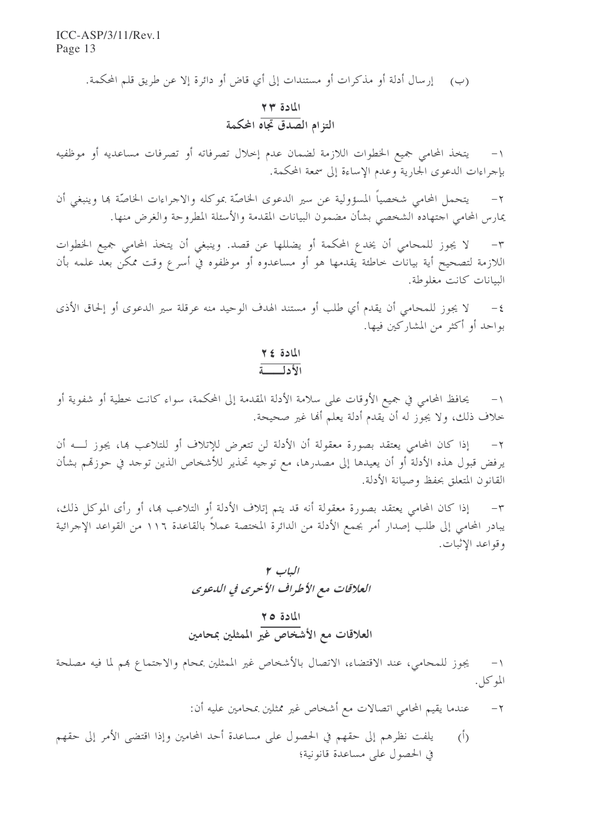(ب) \_ إرسال أدلة أو مذكرات أو مستندات إلى أي قاض أو دائرة إلا عن طريق قلم المحكمة.

# المادة ۲۳<br>التزام الصدق تجاه المحكمة

يتخذ المحامى جميع الخطوات اللازمة لضمان عدم إخلال تصرفاته أو تصرفات مساعديه أو موظفيه  $-1$ بإجراءات الدعوى الجارية وعدم الإساءة إلى سمعة المحكمة.

يتحمل المحامي شخصياً المسؤولية عن سير الدعوى الخاصّة بموكله والاجراءات الخاصّة ها وينبغي أن  $-7$ يمارس المحامى اجتهاده الشخصى بشأن مضمون البيانات المقدمة والأسئلة المطروحة والغرض منها.

لا يجوز للمحامي أن يخدع المحكمة أو يضللها عن قصد. وينبغي أن يتخذ المحامي جميع الخطوات  $-\tau$ اللازمة لتصحيح أية بيانات خاطئة يقدمها هو أو مساعدوه أو موظفوه في أسرع وقت ممكن بعد علمه بأن البيانات كانت مغلوطة.

لا يجوز للمحامي أن يقدم أي طلب أو مستند الهدف الوحيد منه عرقلة سير الدعوى أو إلحاق الأذى  $-\xi$ بواحد أو أكثر من المشاركين فيها.

#### المادة ٤٢ الأدلق

يحافظ المحامي في جميع الأوقات على سلامة الأدلة المقدمة إلى المحكمة، سواء كانت خطية أو شفوية أو خلاف ذلك، ولا يجوز له أن يقدم أدلة يعلم ألها غير صحيحة.

إذا كان المحامي يعتقد بصورة معقولة أن الأدلة لن تتعرض للإتلاف أو للتلاعب ها، يجوز لــــه أن  $-7$ يرفض قبول هذه الأدلة أو أن يعيدها إلى مصدرها، مع توجيه تحذير للأشخاص الذين توجد في حوزتمم بشأن القانون المتعلق بحفظ وصيانة الأدلة.

إذا كان المحامي يعتقد بصورة معقولة أنه قد يتم إتلاف الأدلة أو التلاعب بما، أو رأى الموكل ذلك،  $-\tau$ يبادر المحامي إلى طلب إصدار أمر بجمع الأدلة من الدائرة المختصة عملاً بالقاعدة ١١٦ من القواعد الإجرائية وقواعد الإثبات.

# المادة ٢٥<br>العلاقات مع الأشخاص غير الممثلين بمحامين

يجوز للمحامي، عند الاقتضاء، الاتصال بالأشخاص غير الممثلين بمحام والاحتماع هم لما فيه مصلحة  $-1$ الموكل.

- عندما يقيم المحامي اتصالات مع أشخاص غير ممثلين بمحامين عليه أن:  $-\tau$
- يلفت نظرهم إلى حقهم في الحصول على مساعدة أحد المحامين وإذا اقتضى الأمر إلى حقهم  $(\mathfrak{h})$ في الحصول على مساعدة قانونية؛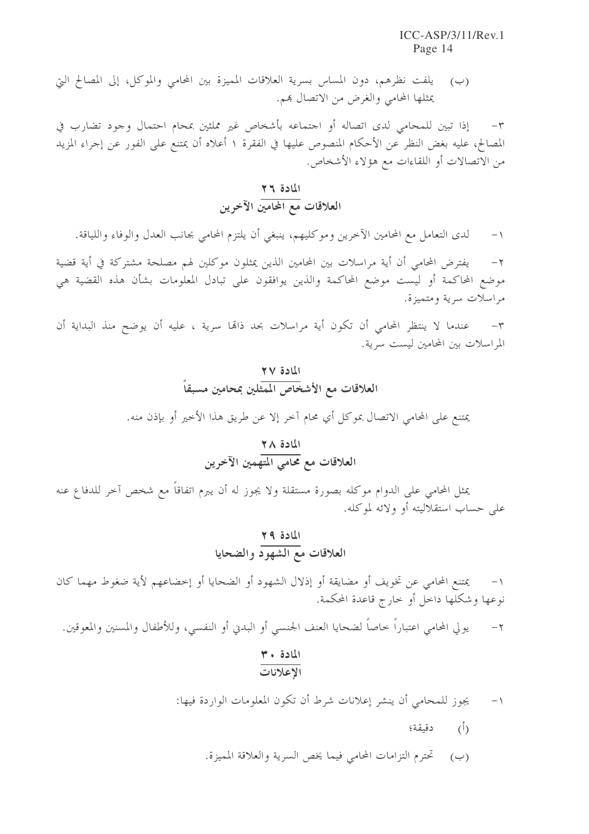يلفت نظرهم، دون المساس بسرية العلاقات المميزة بين المحامي والموكل، إلى المصالح التي  $(\hookrightarrow)$ يمثلها المحامي والغرض من الاتصال هم.

إذا تبين للمحامي لدى اتصاله أو اجتماعه بأشخاص غير مملثين بمحام احتمال وجود تضارب في  $-{\bf r}$ المصالح، عليه بغض النظر عن الأحكام المنصوص عليها في الفقرة ١ أعلاه أن يمتنع على الفور عن إجراء المزيد من الاتصالات أو اللقاءات مع هؤلاء الأشخاص.

### المادة ٢٦ .<br>العلاقات مع المحامين الآخرين

لدى التعامل مع المحامين الآخرين وموكليهم، ينبغي أن يلتزم المحامي بجانب العدل والوفاء واللياقة.  $-1$ 

يفترض المحامى أن أية مراسلات بين المحامين الذين يمثلون موكلين لهم مصلحة مشتركة في أية قضية  $-7$ موضع المحاكمة أو ليست موضع المحاكمة والذين يوافقون على تبادل المعلومات بشأن هذه القضية هي مراسلات سرية ومتميزة.

عندما لا ينتظر المحامي أن تكون أية مراسلات بحد ذالها سرية ، عليه أن يوضح منذ البداية أن  $-\tau$ المراسلات بين المحامين ليست سرية.

# المادة ٢٧<br>العلاقات مع الأشخاص المشلين بمحامين مسبقاً

يمتنع على المحامي الاتصال بموكل أي محام آحر إلا عن طريق هذا الأخير أو بإذن منه.

# المادة ٢٨<br>العلاقات مع محامي المتهمين الآخرين

يمثل المحامي على الدوام موكله بصورة مستقلة ولا يجوز له أن يبرم اتفاقاً مع شخص آخر للدفاع عنه على حساب استقلاليته أو ولائه لموكله.

### المادة ٢٩ العلاقات مع الشهود والضحايا

يمتنع المحامي عن تخويف أو مضايقة أو إذلال الشهود أو الضحايا أو إخضاعهم لأية ضغوط مهما كان  $-$  \ نوعها وشكلها داخل أو خارج قاعدة المحكمة.

يولى المحامي اعتباراً خاصاً لضحايا العنف الجنسي أو البدني أو النفسي، وللأطفال والمسنين والمعوقين.  $-\tau$ 

#### المادة ٣٠ الإعلانات

يجوز للمحامي أن ينشر إعلانات شرط أن تكون المعلومات الواردة فيها:  $-1$ 

- دقيقة؛  $\overline{(\cdot)}$
- (ب) تحترم التزامات المحامي فيما يخص السرية والعلاقة المميزة.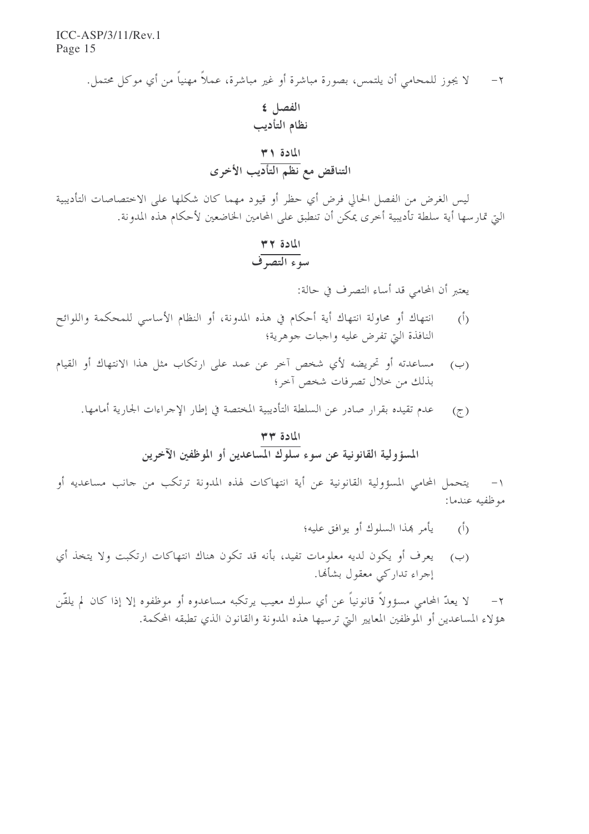> لا يجوز للمحامي أن يلتمس، بصورة مباشرة أو غير مباشرة، عملاً مهنياً من أي موكل محتمل.  $-7$ الفصل ٤ نظام التأديب المادة ٣١ التناقض مع نظم التأديب الأخرى

ليس الغرض من الفصل الحالي فرض أي حظر أو قيود مهما كان شكلها على الاحتصاصات التأديبية التي تمارسها أية سلطة تأديبية أخرى يمكن أن تنطبق على المحامين الخاضعين لأحكام هذه المدونة.

# المادة ٣٢<br>سوء التصوف

يعتبر أن المحامي قد أساء التصرف في حالة:

- انتهاك أو محاولة انتهاك أية أحكام في هذه المدونة، أو النظام الأساسي للمحكمة واللوائح  $\langle$ <sup>5</sup>) النافذة التي تفرض عليه واجبات جوهرية؛
- مساعدته أو تحريضه لأي شخص آخر عن عمد على ارتكاب مثل هذا الانتهاك أو القيام  $(\rightarrow)$ بذلك من حلال تصرفات شخص آحر؛
	- عدم تقيده بقرار صادر عن السلطة التأديبية المختصة في إطار الإجراءات الجارية أمامها.  $(\tau)$

### المادة ٣٣ المسؤولية القانونية عن سوء <mark>سلوك الم</mark>ساعدين أو الموظفين الآخرين

يتحمل المحامي المسؤولية القانونية عن أية انتهاكات لهذه المدونة ترتكب من جانب مساعديه أو  $-1$ موظفيه عندما:

- (أ) ليأمر بمذا السلوك أو يوافق عليه؛
- (ب) \_ يعرف أو يكون لديه معلومات تفيد، بأنه قد تكون هناك انتهاكات ارتكبت ولا يتخذ أي إجراء تداركي معقول بشأنها.

لا يعدّ المحامي مسؤولاً قانونياً عن أي سلوك معيب يرتكبه مساعدوه أو موظفوه إلا إذا كان لم يلقّن  $-7$ هؤلاء المساعدين أو الموظفين المعايير التي ترسيها هذه المدونة والقانون الذي تطبقه المحكمة.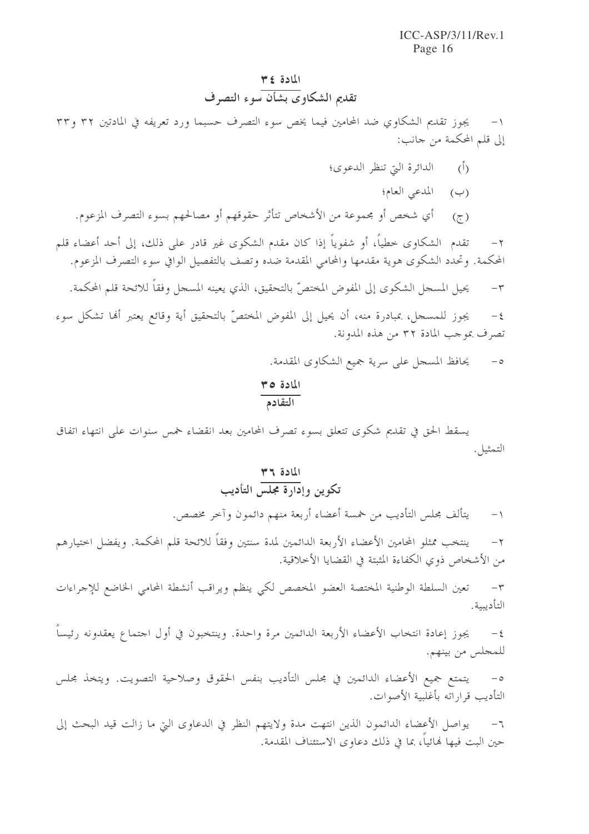#### المادة ٣٤ تقديم الشكاوي بشأن سوء التصرف

يجوز تقديم الشكاوي ضد المحامين فيما يخص سوء التصرف حسبما ورد تعريفه في المادتين ٣٢ و٣٣ إلى قلم المحكمة من جانب:

- (أ) الدائرة التي تنظر الدعوى؛
	- (ب) المدعى العام؛
- (ج) أي شخص أو مجموعة من الأشخاص تتأثر حقوقهم أو مصالحهم بسوء التصرف المزعوم.

تقدم الشكاوي خطياً، أو شفوياً إذا كان مقدم الشكوى غير قادر على ذلك، إلى أحد أعضاء قلم  $-\tau$ المحكمة. وتحدد الشكوى هوية مقدمها والمحامي المقدمة ضده وتصف بالتفصيل الوافي سوء التصرف المزعوم.

يحيل المسجل الشكوي إلى المفوض المختصّ بالتحقيق، الذي يعينه المسجل وفقاً للائحة قلم المحكمة.  $-\tau$ 

يجوز للمسجل، بمبادرة منه، أن يحيل إلى المفوض المختصّ بالتحقيق أية وقائع يعتبر ألها تشكل سوء  $-\xi$ تصرف بموجب المادة ٣٢ من هذه المدونة.

> يحافظ المسجل على سرية جميع الشكاوي المقدمة.  $-\circ$

المادة ٣٥ التقادم

يسقط الحق في تقديم شكوى تتعلق بسوء تصرف المحامين بعد انقضاء خمس سنوات على انتهاء اتفاق التمثيل.

# المادة ٣٦<br>تكوين وإدارة مجلس التأديب

يتألف مجلس التأديب من خمسة أعضاء أربعة منهم دائمون وآخر مخصص.  $-1$ 

ينتخب ممثلو المحامين الأعضاء الأربعة الدائمين لمدة سنتين وفقاً للائحة قلم المحكمة. ويفضل اختيارهم  $-\tau$ من الأشخاص ذوى الكفاءة المثبتة في القضايا الأخلاقية.

تعين السلطة الوطنية المختصة العضو المخصص لكي ينظم ويراقب أنشطة المحامي الخاضع للإجراءات  $-1$ التأديبية.

يجوز إعادة انتخاب الأعضاء الأربعة الدائمين مرة واحدة. وينتخبون في أول احتماع يعقدونه رئيساً  $-\xi$ للمجلس من بينهم.

يتمتع جميع الأعضاء الدائمين في مجلس التأديب بنفس الحقوق وصلاحية التصويت. ويتخذ مجلس  $-\circ$ التأديب قراراته بأغلبية الأصوات.

يواصل الأعضاء الدائمون الذين انتهت مدة ولايتهم النظر في الدعاوى التي ما زالت قيد البحث إلى  $-7$ حين البت فيها لهائياً، بما في ذلك دعاوى الاستئناف المقدمة.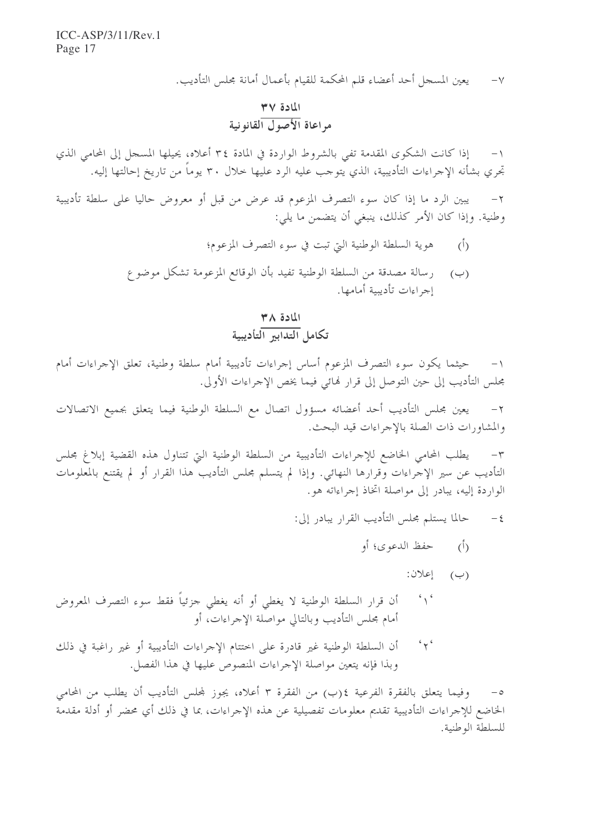يعين المسجل أحد أعضاء قلم المحكمة للقيام بأعمال أمانة مجلس التأديب.  $-\vee$ 

# المادة ٣٧<br>مراعاة الأصول القانونية

١- إذا كانت الشكوى المقدمة تفي بالشروط الواردة في المادة ٣٤ أعلاه، يحيلها المسجل إلى المحامي الذي تجرى بشأنه الإجراءات التأديبية، الذي يتوجب عليه الرد عليها حلال ٣٠ يوماً من تاريخ إحالتها إليه.

يبين الرد ما إذا كان سوء التصرف المزعوم قد عرض من قبل أو معروض حاليا على سلطة تأديبية  $-\tau$ وطنية. وإذا كان الأمر كذلك، ينبغي أن يتضمن ما يلي:

- هوية السلطة الوطنية التي تبت في سوء التصرف المزعوم؛  $\langle \dot{0} \rangle$
- (ب) وسالة مصدقة من السلطة الوطنية تفيد بأن الوقائع المزعومة تشكل موضوع إجراءات تأدبيبة أمامها.

### $M \wedge B$ تكامل التدابير التأديبية

حيثما يكون سوء التصرف المزعوم أساس إجراءات تأديبية أمام سلطة وطنية، تعلق الإجراءات أمام مجلس التأديب إلى حين التوصل إلى قرار فمائي فيما يخص الإجراءات الأولى.

يعين مجلس التأديب أحد أعضائه مسؤول اتصال مع السلطة الوطنية فيما يتعلق بجميع الاتصالات  $-\tau$ والمشاورات ذات الصلة بالإجراءات قيد البحث.

يطلب المحامي الخاضع للإجراءات التأديبية من السلطة الوطنية التي تتناول هذه القضية إبلاغ مجلس  $-\tau$ التأديب عن سير الإجراءات وقرارها النهائي. وإذا لم يتسلم مجلس التأديب هذا القرار أو لم يقتنع بالمعلومات الواردة إليه، يبادر إلى مواصلة اتخاذ إجراءاته هو .

- حالما يستلم مجلس التأديب القرار يبادر إلى:  $-\xi$ 
	- حفظ الدعوى؛ أو  $\binom{1}{1}$ 
		- $(\neg)$  إعلان:
- $\left( \begin{array}{c} c \\ 1 \end{array} \right)$ أن قرار السلطة الوطنية لا يغطى أو أنه يغطى جزئياً فقط سوء التصرف المعروض أمام مجلس التأديب وبالتالي مواصلة الإجراءات، أو
- $45$ أن السلطة الوطنية غير قادرة على اختتام الإجراءات التأديبية أو غير راغبة في ذلك وبذا فإنه يتعين مواصلة الإجراءات المنصوص عليها في هذا الفصل.

٥– وفيما يتعلق بالفقرة الفرعية ٤(ب) من الفقرة ٣ أعلاه، يجوز لمحلس التأديب أن يطلب من المحامي الخاضع للإجراءات التأديبية تقديم معلومات تفصيلية عن هذه الإجراءات، بما في ذلك أي محضر أو أدلة مقدمة للسلطة الوطنية.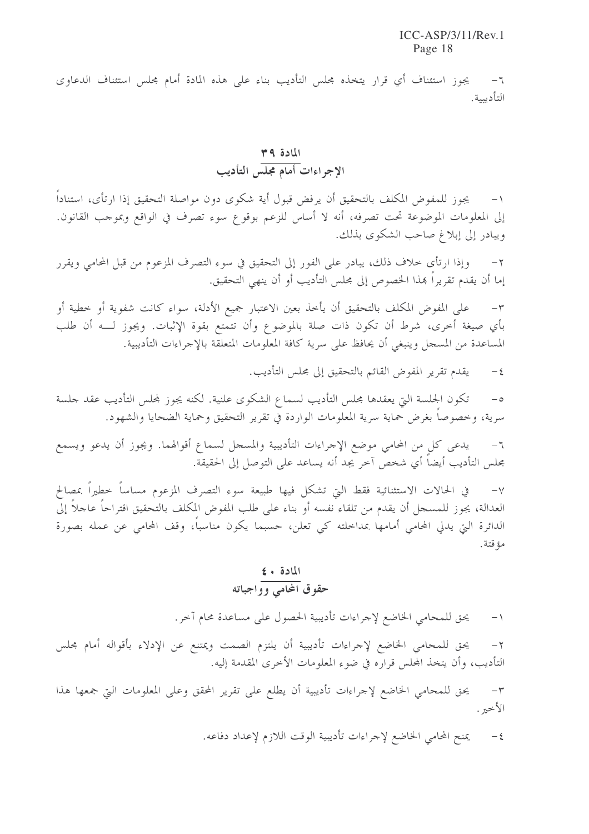يجوز استئناف أي قرار يتخذه مجلس التأديب بناء على هذه المادة أمام مجلس استئناف الدعاوى  $-7$ التأديبية.

### المادة ٣٩ الإجواءات أمام مجلس التأديب

يجوز للمفوض المكلف بالتحقيق أن يرفض قبول أية شكوى دون مواصلة التحقيق إذا ارتأى، استناداً إلى المعلومات الموضوعة تحت تصرفه، أنه لا أساس للزعم بوقوع سوء تصرف في الواقع وبموجب القانون. ويبادر إلى إبلاغ صاحب الشكوى بذلك.

وإذا ارتأى خلاف ذلك، يبادر على الفور إلى التحقيق في سوء التصرف المزعوم من قبل المحامي ويقرر  $-\gamma$ إما أن يقدم تقريراً هذا الخصوص إلى مجلس التأديب أو أن ينهى التحقيق.

على المفوض المكلف بالتحقيق أن يأخذ بعين الاعتبار جميع الأدلة، سواء كانت شفوية أو خطية أو  $-\tau$ بأي صيغة أخرى، شرط أن تكون ذات صلة بالموضوع وأن تتمتع بقوة الإثبات. ويجوز لــــه أن طلب المساعدة من المسجل وينبغي أن يحافظ على سرية كافة المعلومات المتعلقة بالإجراءات التأديبية.

> يقدم تقرير المفوض القائم بالتحقيق إلى مجلس التأديب.  $-\xi$

تكون الجلسة التي يعقدها مجلس التأديب لسماع الشكوى علنية. لكنه يجوز لمحلس التأديب عقد حلسة  $-\circ$ سرية، وخصوصاً بغرض حماية سرية المعلومات الواردة في تقرير التحقيق وحماية الضحايا والشهود.

يدعى كل من المحامي موضع الإجراءات التأديبية والمسحل لسماع أقوالهما. ويجوز أن يدعو ويسمع  $-7$ مجلس التأديب أيضاً أي شخص آخر يجد أنه يساعد على التوصل إلى الحقيقة.

في الحالات الاستثنائية فقط التي تشكل فيها طبيعة سوء التصرف المزعوم مساساً خطيراً بمصالح  $-\vee$ العدالة، يجوز للمسجل أن يقدم من تلقاء نفسه أو بناء على طلب المفوض المكلف بالتحقيق اقتراحاً عاجلاً إلى الدائرة التي يدلي المحامي أمامها بمداخلته كي تعلن، حسبما يكون مناسباً، وقف المحامي عن عمله بصورة مؤ قتة .

### المادة + ٤ حقوق المحامي وواجباته

يحق للمحامى الخاضع لإجراءات تأديبية الحصول على مساعدة محام آخر.  $-1$ 

يحق للمحامى الخاضع لإجراءات تأديبية أن يلتزم الصمت ويمتنع عن الإدلاء بأقواله أمام مجلس  $-\tau$ التأديب، وأن يتخذ المجلس قراره في ضوء المعلومات الأخرى المقدمة إليه.

يحق للمحامي الخاضع لإحراءات تأديبية أن يطلع على تقرير المحقق وعلى المعلومات التي جمعها هذا  $-\tau$ الأخير .

> يمنح المحامى الخاضع لإحراءات تأديبية الوقت اللازم لإعداد دفاعه.  $-\,\xi$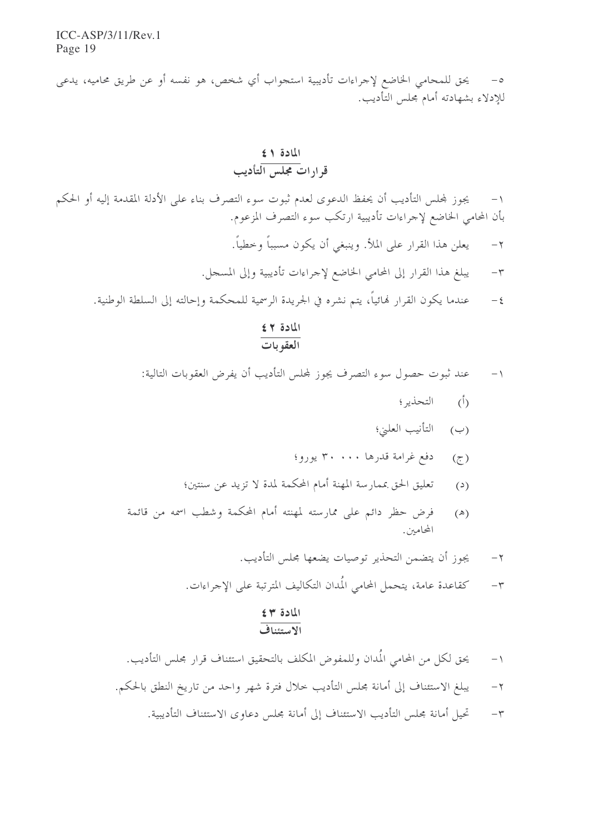يحق للمحامي الخاضع لإجراءات تأديبية استجواب أي شخص، هو نفسه أو عن طريق محاميه، يدعى  $-\circ$ للإدلاء بشهادته أمام مجلس التأديب.

### المادة ١٤ قرارات مجلس التأديب

يجوز لمجلس التأديب أن يحفظ الدعوى لعدم ثبوت سوء التصرف بناء على الأدلة المقدمة إليه أو الحكم  $-1$ بأن المحامي الخاضع لإجراءات تأديبية ارتكب سوء التصرف المزعوم.

- يعلن هذا القرار على الملأ. وينبغي أن يكون مسبباً وحطياً.  $-\gamma$
- يبلغ هذا القرار إلى المحامي الخاضع لإجراءات تأديبية وإلى المسجل.  $-\tau$
- عندما يكون القرار لهائياً، يتم نشره في الجريدة الرسمية للمحكمة وإحالته إلى السلطة الوطنية.  $-\xi$

## المادة ٤٢<br>العقوبات

عند ثبوت حصول سوء التصرف يجوز لمحلس التأديب أن يفرض العقوبات التالية:  $-1$ 

- (أ) التحذير ؛
- (ب) التأنيب العليٰ؛
- (ج) دفع غرامة قدرها ۳۰۰۰۰ يورو؛
- تعليق الحق بممارسة المهنة أمام المحكمة لمدة لا تزيد عن سنتين؛  $(\circ)$
- فرض حظر دائم على ممارسته لمهنته أمام المحكمة وشطب اسمه من قائمة  $(\mathbb{A})$ المحامين.
	- يجوز أن يتضمن التحذير توصيات يضعها محلس التأديب.  $-\tau$
	- كقاعدة عامة، يتحمل المحامي المُدان التكاليف المترتبة على الإجراءات.  $-\tau$

#### المادة ٣٤ الاستئناف

يحق لكل من المحامي المُدان وللمفوض المكلف بالتحقيق استئناف قرار مجلس التأديب.  $-1$ يبلغ الاستئناف إلى أمانة مجلس التأديب حلال فترة شهر واحد من تاريخ النطق بالحكم.  $-\gamma$ تحيل أمانة مجلس التأديب الاستئناف إلى أمانة مجلس دعاوى الاستئناف التأديبية.  $-\tau$